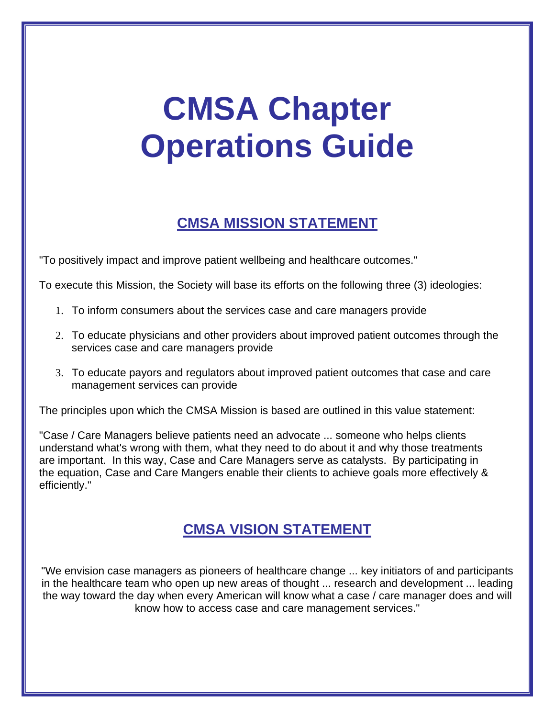# **CMSA Chapter Operations Guide**

# **CMSA MISSION STATEMENT**

"To positively impact and improve patient wellbeing and healthcare outcomes."

To execute this Mission, the Society will base its efforts on the following three (3) ideologies:

- 1. To inform consumers about the services case and care managers provide
- 2. To educate physicians and other providers about improved patient outcomes through the services case and care managers provide
- 3. To educate payors and regulators about improved patient outcomes that case and care management services can provide

The principles upon which the CMSA Mission is based are outlined in this value statement:

"Case / Care Managers believe patients need an advocate ... someone who helps clients understand what's wrong with them, what they need to do about it and why those treatments are important. In this way, Case and Care Managers serve as catalysts. By participating in the equation, Case and Care Mangers enable their clients to achieve goals more effectively & efficiently."

# **CMSA VISION STATEMENT**

"We envision case managers as pioneers of healthcare change ... key initiators of and participants in the healthcare team who open up new areas of thought ... research and development ... leading the way toward the day when every American will know what a case / care manager does and will know how to access case and care management services."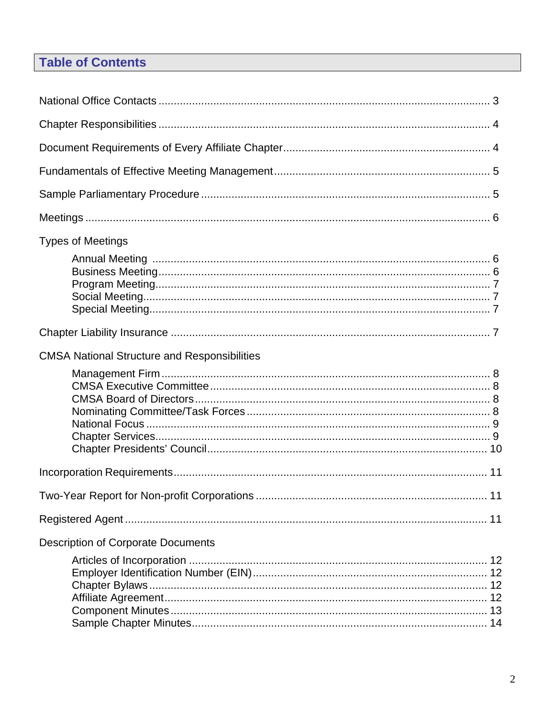# **Table of Contents**

| <b>Types of Meetings</b>                            |  |  |  |
|-----------------------------------------------------|--|--|--|
|                                                     |  |  |  |
|                                                     |  |  |  |
| <b>CMSA National Structure and Responsibilities</b> |  |  |  |
|                                                     |  |  |  |
|                                                     |  |  |  |
|                                                     |  |  |  |
|                                                     |  |  |  |
| <b>Description of Corporate Documents</b>           |  |  |  |
|                                                     |  |  |  |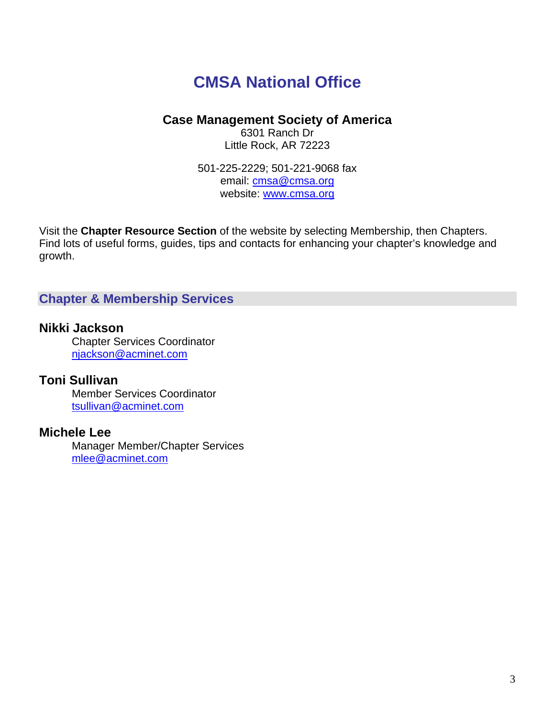# **CMSA National Office**

# **Case Management Society of America**

6301 Ranch Dr Little Rock, AR 72223

501-225-2229; 501-221-9068 fax email: cmsa@cmsa.org website: www.cmsa.org

Visit the **Chapter Resource Section** of the website by selecting Membership, then Chapters. Find lots of useful forms, guides, tips and contacts for enhancing your chapter's knowledge and growth.

# **Chapter & Membership Services**

# **Nikki Jackson**

Chapter Services Coordinator njackson@acminet.com

# **Toni Sullivan**

 Member Services Coordinator tsullivan@acminet.com

# **Michele Lee**

Manager Member/Chapter Services mlee@acminet.com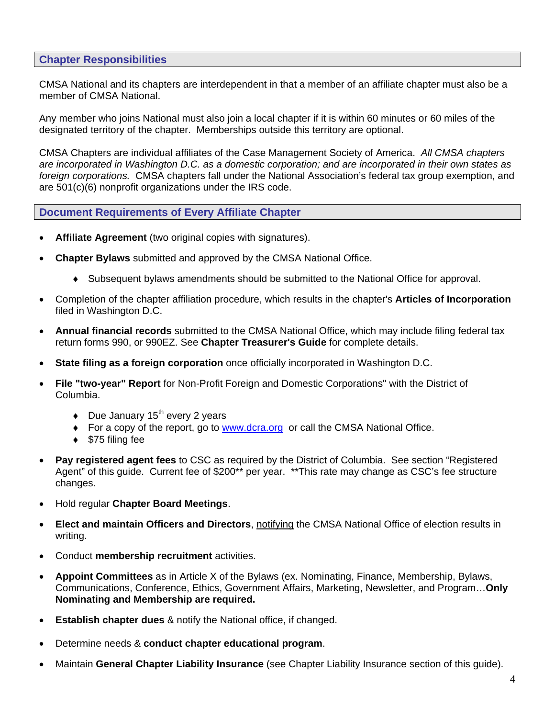#### **Chapter Responsibilities**

CMSA National and its chapters are interdependent in that a member of an affiliate chapter must also be a member of CMSA National.

Any member who joins National must also join a local chapter if it is within 60 minutes or 60 miles of the designated territory of the chapter. Memberships outside this territory are optional.

CMSA Chapters are individual affiliates of the Case Management Society of America. *All CMSA chapters are incorporated in Washington D.C. as a domestic corporation; and are incorporated in their own states as foreign corporations.* CMSA chapters fall under the National Association's federal tax group exemption, and are 501(c)(6) nonprofit organizations under the IRS code.

#### **Document Requirements of Every Affiliate Chapter**

- **Affiliate Agreement** (two original copies with signatures).
- **Chapter Bylaws** submitted and approved by the CMSA National Office.
	- ♦ Subsequent bylaws amendments should be submitted to the National Office for approval.
- Completion of the chapter affiliation procedure, which results in the chapter's **Articles of Incorporation** filed in Washington D.C.
- **Annual financial records** submitted to the CMSA National Office, which may include filing federal tax return forms 990, or 990EZ. See **Chapter Treasurer's Guide** for complete details.
- **State filing as a foreign corporation** once officially incorporated in Washington D.C.
- **File "two-year" Report** for Non-Profit Foreign and Domestic Corporations" with the District of Columbia.
	- $\bullet$  Due January 15<sup>th</sup> every 2 years
	- ♦ For a copy of the report, go to www.dcra.org or call the CMSA National Office.
	- $\triangleleft$  \$75 filing fee
- **Pay registered agent fees** to CSC as required by the District of Columbia. See section "Registered Agent" of this guide. Current fee of \$200\*\* per year. \*\*This rate may change as CSC's fee structure changes.
- Hold regular **Chapter Board Meetings**.
- **Elect and maintain Officers and Directors**, notifying the CMSA National Office of election results in writing.
- Conduct **membership recruitment** activities.
- **Appoint Committees** as in Article X of the Bylaws (ex. Nominating, Finance, Membership, Bylaws, Communications, Conference, Ethics, Government Affairs, Marketing, Newsletter, and Program…**Only Nominating and Membership are required.**
- **Establish chapter dues** & notify the National office, if changed.
- Determine needs & **conduct chapter educational program**.
- Maintain **General Chapter Liability Insurance** (see Chapter Liability Insurance section of this guide).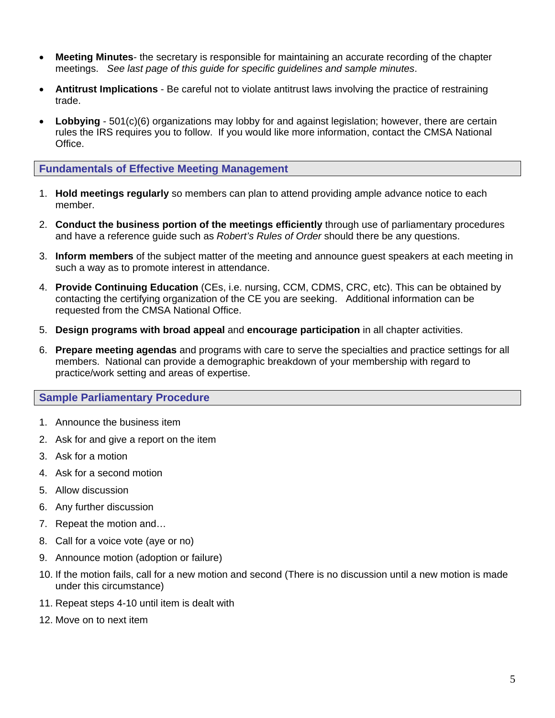- **Meeting Minutes** the secretary is responsible for maintaining an accurate recording of the chapter meetings. *See last page of this guide for specific guidelines and sample minutes*.
- **Antitrust Implications** Be careful not to violate antitrust laws involving the practice of restraining trade.
- **Lobbying** 501(c)(6) organizations may lobby for and against legislation; however, there are certain rules the IRS requires you to follow. If you would like more information, contact the CMSA National Office.

#### **Fundamentals of Effective Meeting Management**

- 1. **Hold meetings regularly** so members can plan to attend providing ample advance notice to each member.
- 2. **Conduct the business portion of the meetings efficiently** through use of parliamentary procedures and have a reference guide such as *Robert's Rules of Order* should there be any questions.
- 3. **Inform members** of the subject matter of the meeting and announce guest speakers at each meeting in such a way as to promote interest in attendance.
- 4. **Provide Continuing Education** (CEs, i.e. nursing, CCM, CDMS, CRC, etc). This can be obtained by contacting the certifying organization of the CE you are seeking. Additional information can be requested from the CMSA National Office.
- 5. **Design programs with broad appeal** and **encourage participation** in all chapter activities.
- 6. **Prepare meeting agendas** and programs with care to serve the specialties and practice settings for all members. National can provide a demographic breakdown of your membership with regard to practice/work setting and areas of expertise.

#### **Sample Parliamentary Procedure**

- 1. Announce the business item
- 2. Ask for and give a report on the item
- 3. Ask for a motion
- 4. Ask for a second motion
- 5. Allow discussion
- 6. Any further discussion
- 7. Repeat the motion and…
- 8. Call for a voice vote (aye or no)
- 9. Announce motion (adoption or failure)
- 10. If the motion fails, call for a new motion and second (There is no discussion until a new motion is made under this circumstance)
- 11. Repeat steps 4-10 until item is dealt with
- 12. Move on to next item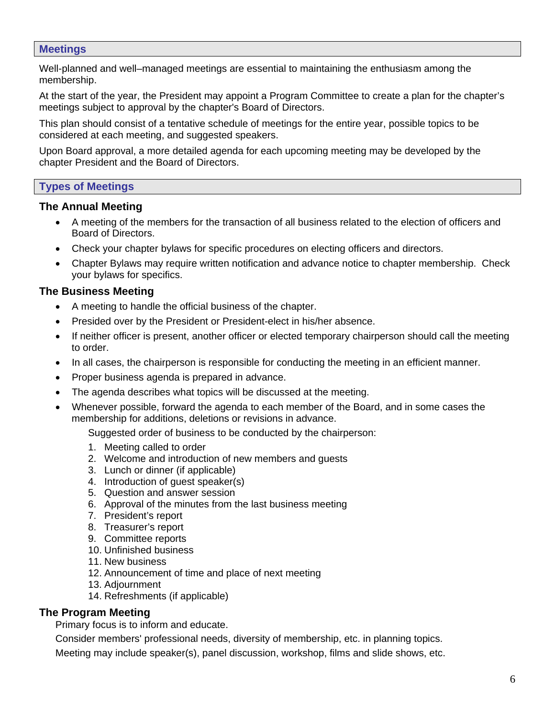#### **Meetings**

Well-planned and well–managed meetings are essential to maintaining the enthusiasm among the membership.

At the start of the year, the President may appoint a Program Committee to create a plan for the chapter's meetings subject to approval by the chapter's Board of Directors.

This plan should consist of a tentative schedule of meetings for the entire year, possible topics to be considered at each meeting, and suggested speakers.

Upon Board approval, a more detailed agenda for each upcoming meeting may be developed by the chapter President and the Board of Directors.

#### **Types of Meetings**

#### **The Annual Meeting**

- A meeting of the members for the transaction of all business related to the election of officers and Board of Directors.
- Check your chapter bylaws for specific procedures on electing officers and directors.
- Chapter Bylaws may require written notification and advance notice to chapter membership. Check your bylaws for specifics.

#### **The Business Meeting**

- A meeting to handle the official business of the chapter.
- Presided over by the President or President-elect in his/her absence.
- If neither officer is present, another officer or elected temporary chairperson should call the meeting to order.
- In all cases, the chairperson is responsible for conducting the meeting in an efficient manner.
- Proper business agenda is prepared in advance.
- The agenda describes what topics will be discussed at the meeting.
- Whenever possible, forward the agenda to each member of the Board, and in some cases the membership for additions, deletions or revisions in advance.

Suggested order of business to be conducted by the chairperson:

- 1. Meeting called to order
- 2. Welcome and introduction of new members and guests
- 3. Lunch or dinner (if applicable)
- 4. Introduction of guest speaker(s)
- 5. Question and answer session
- 6. Approval of the minutes from the last business meeting
- 7. President's report
- 8. Treasurer's report
- 9. Committee reports
- 10. Unfinished business
- 11. New business
- 12. Announcement of time and place of next meeting
- 13. Adjournment
- 14. Refreshments (if applicable)

#### **The Program Meeting**

Primary focus is to inform and educate.

Consider members' professional needs, diversity of membership, etc. in planning topics.

Meeting may include speaker(s), panel discussion, workshop, films and slide shows, etc.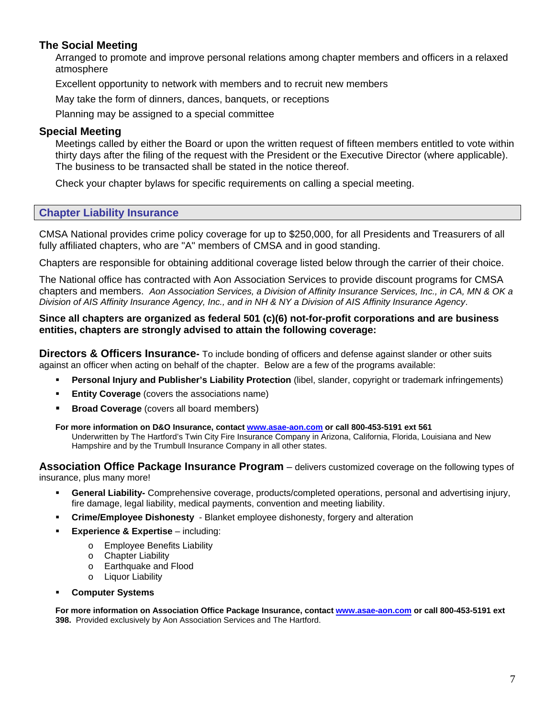## **The Social Meeting**

Arranged to promote and improve personal relations among chapter members and officers in a relaxed atmosphere

Excellent opportunity to network with members and to recruit new members

May take the form of dinners, dances, banquets, or receptions

Planning may be assigned to a special committee

#### **Special Meeting**

Meetings called by either the Board or upon the written request of fifteen members entitled to vote within thirty days after the filing of the request with the President or the Executive Director (where applicable). The business to be transacted shall be stated in the notice thereof.

Check your chapter bylaws for specific requirements on calling a special meeting.

#### **Chapter Liability Insurance**

CMSA National provides crime policy coverage for up to \$250,000, for all Presidents and Treasurers of all fully affiliated chapters, who are "A" members of CMSA and in good standing.

Chapters are responsible for obtaining additional coverage listed below through the carrier of their choice.

The National office has contracted with Aon Association Services to provide discount programs for CMSA chapters and members. *Aon Association Services, a Division of Affinity Insurance Services, Inc., in CA, MN & OK a Division of AIS Affinity Insurance Agency, Inc., and in NH & NY a Division of AIS Affinity Insurance Agency*.

#### **Since all chapters are organized as federal 501 (c)(6) not-for-profit corporations and are business entities, chapters are strongly advised to attain the following coverage:**

**Directors & Officers Insurance-** To include bonding of officers and defense against slander or other suits against an officer when acting on behalf of the chapter. Below are a few of the programs available:

- **Personal Injury and Publisher's Liability Protection** (libel, slander, copyright or trademark infringements)
- **Entity Coverage** (covers the associations name)
- **Broad Coverage** (covers all board members)

#### **For more information on D&O Insurance, contact www.asae-aon.com or call 800-453-5191 ext 561**

Underwritten by The Hartford's Twin City Fire Insurance Company in Arizona, California, Florida, Louisiana and New Hampshire and by the Trumbull Insurance Company in all other states.

**Association Office Package Insurance Program** – delivers customized coverage on the following types of insurance, plus many more!

- **General Liability-** Comprehensive coverage, products/completed operations, personal and advertising injury, fire damage, legal liability, medical payments, convention and meeting liability.
- **Crime/Employee Dishonesty**  Blanket employee dishonesty, forgery and alteration
- **Experience & Expertise** including:
	- o Employee Benefits Liability
	- o Chapter Liability
	- o Earthquake and Flood
	- o Liquor Liability
	- **Computer Systems**

**For more information on Association Office Package Insurance, contact www.asae-aon.com or call 800-453-5191 ext 398.** Provided exclusively by Aon Association Services and The Hartford.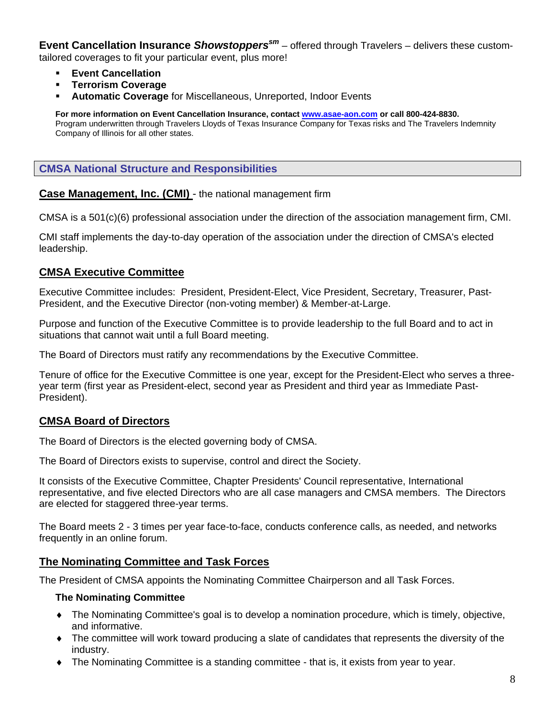**Event Cancellation Insurance Showstoppers<sup>sm</sup>** – offered through Travelers – delivers these customtailored coverages to fit your particular event, plus more!

- **Event Cancellation**
- **Terrorism Coverage**
- **Automatic Coverage** for Miscellaneous, Unreported, Indoor Events

**For more information on Event Cancellation Insurance, contact www.asae-aon.com or call 800-424-8830.** Program underwritten through Travelers Lloyds of Texas Insurance Company for Texas risks and The Travelers Indemnity Company of Illinois for all other states.

#### **CMSA National Structure and Responsibilities**

**Case Management, Inc. (CMI)** - the national management firm

CMSA is a 501(c)(6) professional association under the direction of the association management firm, CMI.

CMI staff implements the day-to-day operation of the association under the direction of CMSA's elected leadership.

#### **CMSA Executive Committee**

Executive Committee includes: President, President-Elect, Vice President, Secretary, Treasurer, Past-President, and the Executive Director (non-voting member) & Member-at-Large.

Purpose and function of the Executive Committee is to provide leadership to the full Board and to act in situations that cannot wait until a full Board meeting.

The Board of Directors must ratify any recommendations by the Executive Committee.

Tenure of office for the Executive Committee is one year, except for the President-Elect who serves a threeyear term (first year as President-elect, second year as President and third year as Immediate Past-President).

#### **CMSA Board of Directors**

The Board of Directors is the elected governing body of CMSA.

The Board of Directors exists to supervise, control and direct the Society.

It consists of the Executive Committee, Chapter Presidents' Council representative, International representative, and five elected Directors who are all case managers and CMSA members. The Directors are elected for staggered three-year terms.

The Board meets 2 - 3 times per year face-to-face, conducts conference calls, as needed, and networks frequently in an online forum.

#### **The Nominating Committee and Task Forces**

The President of CMSA appoints the Nominating Committee Chairperson and all Task Forces.

#### **The Nominating Committee**

- ♦ The Nominating Committee's goal is to develop a nomination procedure, which is timely, objective, and informative.
- ♦ The committee will work toward producing a slate of candidates that represents the diversity of the industry.
- ♦ The Nominating Committee is a standing committee that is, it exists from year to year.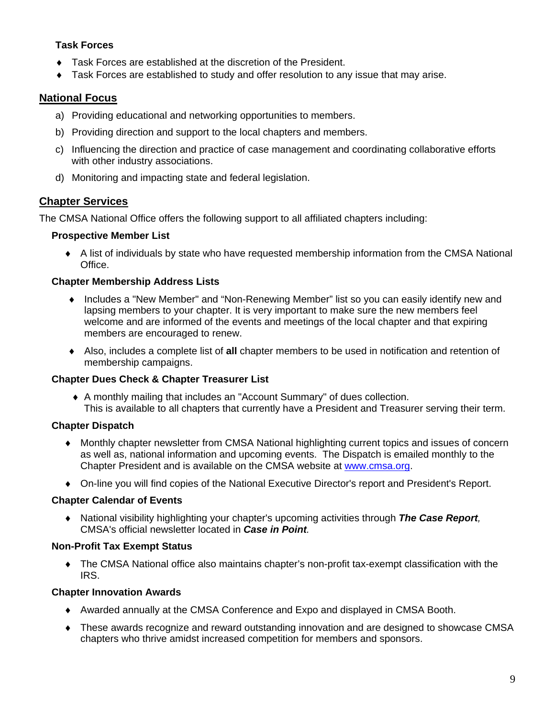#### **Task Forces**

- ♦ Task Forces are established at the discretion of the President.
- Task Forces are established to study and offer resolution to any issue that may arise.

# **National Focus**

- a) Providing educational and networking opportunities to members.
- b) Providing direction and support to the local chapters and members.
- c) Influencing the direction and practice of case management and coordinating collaborative efforts with other industry associations.
- d) Monitoring and impacting state and federal legislation.

# **Chapter Services**

The CMSA National Office offers the following support to all affiliated chapters including:

#### **Prospective Member List**

♦ A list of individuals by state who have requested membership information from the CMSA National Office.

## **Chapter Membership Address Lists**

- ♦ Includes a "New Member" and "Non-Renewing Member" list so you can easily identify new and lapsing members to your chapter. It is very important to make sure the new members feel welcome and are informed of the events and meetings of the local chapter and that expiring members are encouraged to renew.
- ♦ Also, includes a complete list of **all** chapter members to be used in notification and retention of membership campaigns.

#### **Chapter Dues Check & Chapter Treasurer List**

♦ A monthly mailing that includes an "Account Summary" of dues collection. This is available to all chapters that currently have a President and Treasurer serving their term.

# **Chapter Dispatch**

- ♦ Monthly chapter newsletter from CMSA National highlighting current topics and issues of concern as well as, national information and upcoming events. The Dispatch is emailed monthly to the Chapter President and is available on the CMSA website at www.cmsa.org.
- ♦ On-line you will find copies of the National Executive Director's report and President's Report.

#### **Chapter Calendar of Events**

♦ National visibility highlighting your chapter's upcoming activities through *The Case Report,*  CMSA's official newsletter located in *Case in Point.* 

#### **Non-Profit Tax Exempt Status**

♦ The CMSA National office also maintains chapter's non-profit tax-exempt classification with the IRS.

#### **Chapter Innovation Awards**

- ♦ Awarded annually at the CMSA Conference and Expo and displayed in CMSA Booth.
- ♦ These awards recognize and reward outstanding innovation and are designed to showcase CMSA chapters who thrive amidst increased competition for members and sponsors.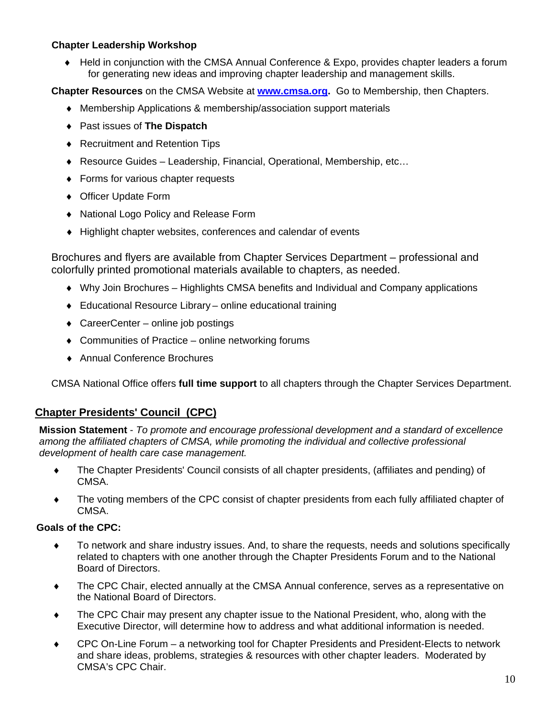#### **Chapter Leadership Workshop**

♦ Held in conjunction with the CMSA Annual Conference & Expo, provides chapter leaders a forum for generating new ideas and improving chapter leadership and management skills.

**Chapter Resources** on the CMSA Website at **www.cmsa.org.** Go to Membership, then Chapters.

- ♦ Membership Applications & membership/association support materials
- ♦ Past issues of **The Dispatch**
- ♦ Recruitment and Retention Tips
- ♦ Resource Guides Leadership, Financial, Operational, Membership, etc…
- ♦ Forms for various chapter requests
- ♦ Officer Update Form
- ♦ National Logo Policy and Release Form
- ♦ Highlight chapter websites, conferences and calendar of events

Brochures and flyers are available from Chapter Services Department – professional and colorfully printed promotional materials available to chapters, as needed.

- ♦ Why Join Brochures Highlights CMSA benefits and Individual and Company applications
- ♦ Educational Resource Library online educational training
- $\triangleleft$  CareerCenter online job postings
- ♦ Communities of Practice online networking forums
- ♦ Annual Conference Brochures

CMSA National Office offers **full time support** to all chapters through the Chapter Services Department.

#### **Chapter Presidents' Council (CPC)**

**Mission Statement** - *To promote and encourage professional development and a standard of excellence among the affiliated chapters of CMSA, while promoting the individual and collective professional development of health care case management.* 

- ♦ The Chapter Presidents' Council consists of all chapter presidents, (affiliates and pending) of CMSA.
- ♦ The voting members of the CPC consist of chapter presidents from each fully affiliated chapter of CMSA.

#### **Goals of the CPC:**

- ♦ To network and share industry issues. And, to share the requests, needs and solutions specifically related to chapters with one another through the Chapter Presidents Forum and to the National Board of Directors.
- ♦ The CPC Chair, elected annually at the CMSA Annual conference, serves as a representative on the National Board of Directors.
- ♦ The CPC Chair may present any chapter issue to the National President, who, along with the Executive Director, will determine how to address and what additional information is needed.
- ◆ CPC On-Line Forum a networking tool for Chapter Presidents and President-Elects to network and share ideas, problems, strategies & resources with other chapter leaders. Moderated by CMSA's CPC Chair.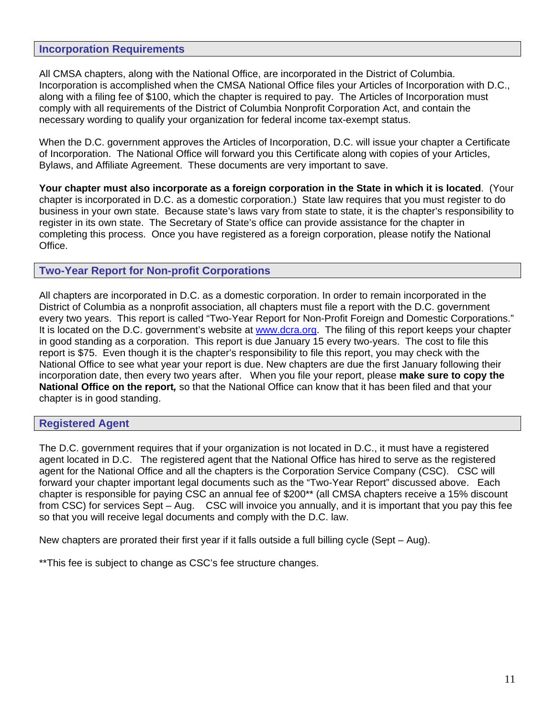#### **Incorporation Requirements**

All CMSA chapters, along with the National Office, are incorporated in the District of Columbia. Incorporation is accomplished when the CMSA National Office files your Articles of Incorporation with D.C., along with a filing fee of \$100, which the chapter is required to pay. The Articles of Incorporation must comply with all requirements of the District of Columbia Nonprofit Corporation Act, and contain the necessary wording to qualify your organization for federal income tax-exempt status.

When the D.C. government approves the Articles of Incorporation, D.C. will issue your chapter a Certificate of Incorporation. The National Office will forward you this Certificate along with copies of your Articles, Bylaws, and Affiliate Agreement. These documents are very important to save.

**Your chapter must also incorporate as a foreign corporation in the State in which it is located**. (Your chapter is incorporated in D.C. as a domestic corporation.) State law requires that you must register to do business in your own state. Because state's laws vary from state to state, it is the chapter's responsibility to register in its own state. The Secretary of State's office can provide assistance for the chapter in completing this process. Once you have registered as a foreign corporation, please notify the National Office.

#### **Two-Year Report for Non-profit Corporations**

All chapters are incorporated in D.C. as a domestic corporation. In order to remain incorporated in the District of Columbia as a nonprofit association, all chapters must file a report with the D.C. government every two years. This report is called "Two-Year Report for Non-Profit Foreign and Domestic Corporations." It is located on the D.C. government's website at www.dcra.org. The filing of this report keeps your chapter in good standing as a corporation. This report is due January 15 every two-years. The cost to file this report is \$75. Even though it is the chapter's responsibility to file this report, you may check with the National Office to see what year your report is due. New chapters are due the first January following their incorporation date, then every two years after. When you file your report, please **make sure to copy the National Office on the report***,* so that the National Office can know that it has been filed and that your chapter is in good standing.

#### **Registered Agent**

The D.C. government requires that if your organization is not located in D.C., it must have a registered agent located in D.C. The registered agent that the National Office has hired to serve as the registered agent for the National Office and all the chapters is the Corporation Service Company (CSC). CSC will forward your chapter important legal documents such as the "Two-Year Report" discussed above. Each chapter is responsible for paying CSC an annual fee of \$200\*\* (all CMSA chapters receive a 15% discount from CSC) for services Sept – Aug. CSC will invoice you annually, and it is important that you pay this fee so that you will receive legal documents and comply with the D.C. law.

New chapters are prorated their first year if it falls outside a full billing cycle (Sept – Aug).

\*\*This fee is subject to change as CSC's fee structure changes.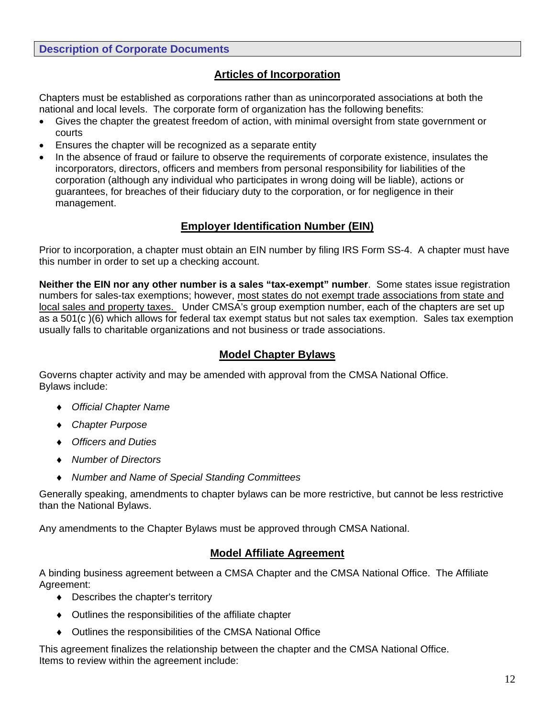#### **Description of Corporate Documents**

## **Articles of Incorporation**

Chapters must be established as corporations rather than as unincorporated associations at both the national and local levels. The corporate form of organization has the following benefits:

- Gives the chapter the greatest freedom of action, with minimal oversight from state government or courts
- Ensures the chapter will be recognized as a separate entity
- In the absence of fraud or failure to observe the requirements of corporate existence, insulates the incorporators, directors, officers and members from personal responsibility for liabilities of the corporation (although any individual who participates in wrong doing will be liable), actions or guarantees, for breaches of their fiduciary duty to the corporation, or for negligence in their management.

#### **Employer Identification Number (EIN)**

Prior to incorporation, a chapter must obtain an EIN number by filing IRS Form SS-4. A chapter must have this number in order to set up a checking account.

**Neither the EIN nor any other number is a sales "tax-exempt" number**. Some states issue registration numbers for sales-tax exemptions; however, most states do not exempt trade associations from state and local sales and property taxes. Under CMSA's group exemption number, each of the chapters are set up as a 501(c )(6) which allows for federal tax exempt status but not sales tax exemption. Sales tax exemption usually falls to charitable organizations and not business or trade associations.

#### **Model Chapter Bylaws**

Governs chapter activity and may be amended with approval from the CMSA National Office. Bylaws include:

- ♦ *Official Chapter Name*
- ♦ *Chapter Purpose*
- ♦ *Officers and Duties*
- ♦ *Number of Directors*
- ♦ *Number and Name of Special Standing Committees*

Generally speaking, amendments to chapter bylaws can be more restrictive, but cannot be less restrictive than the National Bylaws.

Any amendments to the Chapter Bylaws must be approved through CMSA National.

# **Model Affiliate Agreement**

A binding business agreement between a CMSA Chapter and the CMSA National Office. The Affiliate Agreement:

- ♦ Describes the chapter's territory
- ♦ Outlines the responsibilities of the affiliate chapter
- ♦ Outlines the responsibilities of the CMSA National Office

This agreement finalizes the relationship between the chapter and the CMSA National Office. Items to review within the agreement include: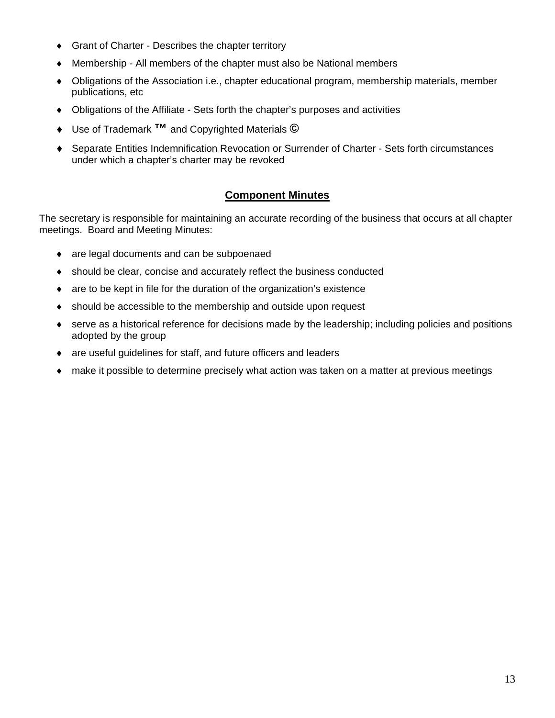- ♦ Grant of Charter Describes the chapter territory
- Membership All members of the chapter must also be National members
- ♦ Obligations of the Association i.e., chapter educational program, membership materials, member publications, etc
- ♦ Obligations of the Affiliate Sets forth the chapter's purposes and activities
- ♦ Use of Trademark **™** and Copyrighted Materials **©**
- ♦ Separate Entities Indemnification Revocation or Surrender of Charter Sets forth circumstances under which a chapter's charter may be revoked

#### **Component Minutes**

The secretary is responsible for maintaining an accurate recording of the business that occurs at all chapter meetings. Board and Meeting Minutes:

- ♦ are legal documents and can be subpoenaed
- ♦ should be clear, concise and accurately reflect the business conducted
- ♦ are to be kept in file for the duration of the organization's existence
- ♦ should be accessible to the membership and outside upon request
- ♦ serve as a historical reference for decisions made by the leadership; including policies and positions adopted by the group
- ♦ are useful guidelines for staff, and future officers and leaders
- make it possible to determine precisely what action was taken on a matter at previous meetings